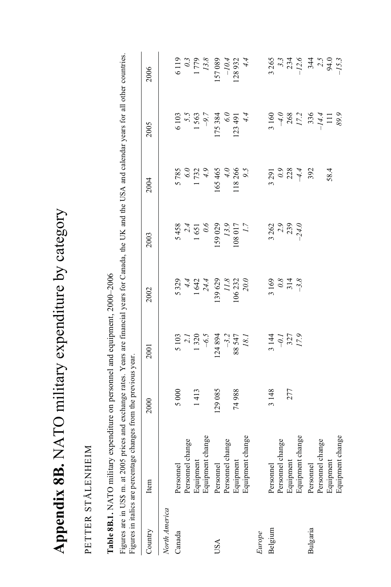| niitoty avnanditura hy nianny |
|-------------------------------|
|                               |
|                               |
| i                             |
| ۱<br>1                        |
|                               |
| CH-refer<br>$\frac{1}{2}$     |
|                               |
| $\frac{1}{2}$                 |
| うくりく<br>I                     |

## PETTER STÅLENHEIM PETTER STÅLENHEIM

Table 8B.1. NATO military expenditure on personnel and equipment, 2000-2006 **Table 8B.1.** NATO military expenditure on personnel and equipment, 2000–2006

Figures are in US\$ m. at 2005 prices and exchange rates. Years are financial years for Canada, the UK and the USA and calendar years for all other countries. Figures are in US\$ m. at 2005 prices and exchange rates. Years are financial years for Canada, the UK and the USA and calendar years for all other countries. Figures in italics are percentage changes from the previous year.

|               | Figures in italics are percentage changes from the previous year. |         |                                                 |                                                                                                                       |                                                                           |                                                                  |                                                                     |                                                               |
|---------------|-------------------------------------------------------------------|---------|-------------------------------------------------|-----------------------------------------------------------------------------------------------------------------------|---------------------------------------------------------------------------|------------------------------------------------------------------|---------------------------------------------------------------------|---------------------------------------------------------------|
| Country       | Item                                                              | 2000    | 2001                                            | 2002                                                                                                                  | 2003                                                                      | 2004                                                             | 2005                                                                | 2006                                                          |
| North America |                                                                   |         |                                                 |                                                                                                                       |                                                                           |                                                                  |                                                                     |                                                               |
| Canada        | Personnel                                                         | 5000    |                                                 |                                                                                                                       |                                                                           |                                                                  |                                                                     |                                                               |
|               | Personnel change                                                  |         |                                                 |                                                                                                                       |                                                                           |                                                                  |                                                                     |                                                               |
|               | Equipment                                                         | 1413    |                                                 |                                                                                                                       |                                                                           |                                                                  |                                                                     |                                                               |
|               | Equipment change                                                  |         | $5103$<br>$2.1$<br>$1320$<br>$-6.5$<br>$124894$ | $\begin{array}{r} 5\,329 \\ 4.4 \\ 1\,642 \\ 24.4 \\ 139\,629 \\ 11.8 \\ 11.8 \\ 20.0 \\ 20.0 \\ 20.0 \\ \end{array}$ | 5 458<br>$2.4$<br>1 651<br>1 651<br>0.6<br>0.6<br>13.9<br>13.9<br>108 017 | 5 785<br>$6.0$<br>1 732<br>14.9<br>165 465<br>118 266<br>118 266 | $6103$<br>5.5<br>1563<br>1563                                       | 6 119<br>0.3<br>1 779<br>13.8<br>157 089                      |
| USA           | Personnel                                                         | 129 085 |                                                 |                                                                                                                       |                                                                           |                                                                  | 175 384                                                             |                                                               |
|               | Personnel change                                                  |         |                                                 |                                                                                                                       |                                                                           |                                                                  |                                                                     |                                                               |
|               | Equipment                                                         | 74988   | $-3.2$<br>88 547<br>18.1                        |                                                                                                                       |                                                                           |                                                                  | $\begin{array}{c}\n 6.0 \\  123.491 \\  \hline\n 4.4\n \end{array}$ | $-10.4$<br>128 932<br>4.4                                     |
|               | Equipment change                                                  |         |                                                 |                                                                                                                       |                                                                           |                                                                  |                                                                     |                                                               |
| Europe        |                                                                   |         |                                                 |                                                                                                                       |                                                                           |                                                                  |                                                                     |                                                               |
| Belgium       | Personnel                                                         | 3148    |                                                 |                                                                                                                       |                                                                           |                                                                  |                                                                     |                                                               |
|               | Personnel change                                                  |         |                                                 |                                                                                                                       |                                                                           |                                                                  |                                                                     |                                                               |
|               | Equipment                                                         | 277     | $3144$<br>$-0.1$<br>$327$<br>$17.9$             | $3169$<br>$0.8$<br>$314$<br>$-3.8$                                                                                    | $3262$<br>$2.9$<br>$2.9$<br>$2.9$                                         |                                                                  |                                                                     |                                                               |
|               | Equipment change                                                  |         |                                                 |                                                                                                                       |                                                                           | $3291$<br>0.9<br>0.2<br>4<br>392                                 | $3160$<br>$-4.0$<br>$268$<br>$17.2$<br>$136$<br>$111$<br>$111$      | 3 265<br>3.3<br>$-12.6$<br>3.4<br>3.4<br>2.5<br>94.0<br>-15.3 |
| Bulgaria      | Personnel                                                         |         |                                                 |                                                                                                                       |                                                                           |                                                                  |                                                                     |                                                               |
|               | Personnel change                                                  |         |                                                 |                                                                                                                       |                                                                           |                                                                  |                                                                     |                                                               |
|               | Equipment                                                         |         |                                                 |                                                                                                                       |                                                                           | 58.4                                                             |                                                                     |                                                               |
|               | Equipment change                                                  |         |                                                 |                                                                                                                       |                                                                           |                                                                  |                                                                     |                                                               |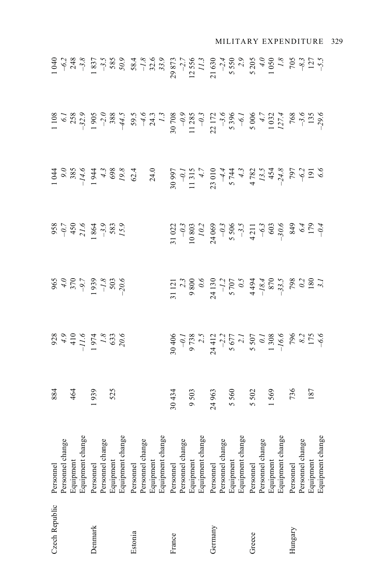| Czech Republic | Personnel                                                                                                                                                                                                                                                |                                                          |                                                                  |                                                                                                                                                                                                                                                                                                                    |                                                                                                                                                                                                                                                                                                                                | $\begin{array}{r} 1108 \\ 1208 \\ -323 \\ 1905 \\ -905 \\ -1905 \\ -905 \\ -1905 \\ -1905 \\ -1905 \\ -1905 \\ -1905 \\ -1905 \\ -1905 \\ -1905 \\ -1905 \\ -1905 \\ -1905 \\ -1905 \\ -1905 \\ -1905 \\ -1905 \\ -1905 \\ -1905 \\ -1905 \\ -1905 \\ -1905 \\ -1905 \\ -1905 \\ -1905 \\ -1905 \\ -1905 \\ -1905 \\ -1905 \\ -1905 \\ -1905 \\$ | $\frac{1}{1}$ $\frac{1}{2}$ $\frac{1}{2}$ $\frac{1}{3}$ $\frac{1}{3}$ $\frac{1}{3}$ $\frac{1}{3}$ $\frac{1}{3}$ $\frac{1}{3}$ $\frac{1}{3}$ $\frac{1}{3}$ $\frac{1}{3}$ $\frac{1}{3}$ $\frac{1}{3}$ $\frac{1}{3}$ $\frac{1}{3}$ $\frac{1}{3}$ $\frac{1}{3}$ $\frac{1}{3}$ $\frac{1}{3}$ $\frac{1}{3}$ $\frac{1}{3}$ |
|----------------|----------------------------------------------------------------------------------------------------------------------------------------------------------------------------------------------------------------------------------------------------------|----------------------------------------------------------|------------------------------------------------------------------|--------------------------------------------------------------------------------------------------------------------------------------------------------------------------------------------------------------------------------------------------------------------------------------------------------------------|--------------------------------------------------------------------------------------------------------------------------------------------------------------------------------------------------------------------------------------------------------------------------------------------------------------------------------|--------------------------------------------------------------------------------------------------------------------------------------------------------------------------------------------------------------------------------------------------------------------------------------------------------------------------------------------------|---------------------------------------------------------------------------------------------------------------------------------------------------------------------------------------------------------------------------------------------------------------------------------------------------------------------|
|                |                                                                                                                                                                                                                                                          |                                                          |                                                                  |                                                                                                                                                                                                                                                                                                                    |                                                                                                                                                                                                                                                                                                                                |                                                                                                                                                                                                                                                                                                                                                  |                                                                                                                                                                                                                                                                                                                     |
|                |                                                                                                                                                                                                                                                          |                                                          |                                                                  |                                                                                                                                                                                                                                                                                                                    |                                                                                                                                                                                                                                                                                                                                |                                                                                                                                                                                                                                                                                                                                                  |                                                                                                                                                                                                                                                                                                                     |
|                | Personnel change<br>Equipment<br>Equipment<br>dange<br>Personnel change<br>Personnel change<br>Personnel change<br>Personnel change<br>Personnel change<br>Personnel change<br>Personnel change<br>Personnel change<br>Personnel change<br>Personnel cha | 884<br>464<br>1939                                       | 928<br>4.9<br>4.9<br>4.1.6<br>$+1.7$<br>$+3.3$<br>53.3<br>$20.6$ | 965<br>4.0<br>4.0<br>502<br>503<br>505<br>5005<br>70.6                                                                                                                                                                                                                                                             | $\begin{array}{r} 958 \\ -0.7 \\ 450 \\ 21.6 \\ 1864 \\ -3.9 \\ 583 \\ 73.9 \\ \end{array}$                                                                                                                                                                                                                                    |                                                                                                                                                                                                                                                                                                                                                  |                                                                                                                                                                                                                                                                                                                     |
| Denmark        |                                                                                                                                                                                                                                                          |                                                          |                                                                  |                                                                                                                                                                                                                                                                                                                    |                                                                                                                                                                                                                                                                                                                                |                                                                                                                                                                                                                                                                                                                                                  |                                                                                                                                                                                                                                                                                                                     |
|                |                                                                                                                                                                                                                                                          |                                                          |                                                                  |                                                                                                                                                                                                                                                                                                                    |                                                                                                                                                                                                                                                                                                                                |                                                                                                                                                                                                                                                                                                                                                  |                                                                                                                                                                                                                                                                                                                     |
|                |                                                                                                                                                                                                                                                          |                                                          |                                                                  |                                                                                                                                                                                                                                                                                                                    |                                                                                                                                                                                                                                                                                                                                |                                                                                                                                                                                                                                                                                                                                                  |                                                                                                                                                                                                                                                                                                                     |
|                |                                                                                                                                                                                                                                                          |                                                          |                                                                  |                                                                                                                                                                                                                                                                                                                    |                                                                                                                                                                                                                                                                                                                                |                                                                                                                                                                                                                                                                                                                                                  |                                                                                                                                                                                                                                                                                                                     |
| Estonia        |                                                                                                                                                                                                                                                          |                                                          |                                                                  |                                                                                                                                                                                                                                                                                                                    |                                                                                                                                                                                                                                                                                                                                |                                                                                                                                                                                                                                                                                                                                                  |                                                                                                                                                                                                                                                                                                                     |
|                |                                                                                                                                                                                                                                                          |                                                          |                                                                  |                                                                                                                                                                                                                                                                                                                    |                                                                                                                                                                                                                                                                                                                                |                                                                                                                                                                                                                                                                                                                                                  |                                                                                                                                                                                                                                                                                                                     |
|                |                                                                                                                                                                                                                                                          |                                                          |                                                                  |                                                                                                                                                                                                                                                                                                                    |                                                                                                                                                                                                                                                                                                                                |                                                                                                                                                                                                                                                                                                                                                  |                                                                                                                                                                                                                                                                                                                     |
|                |                                                                                                                                                                                                                                                          |                                                          |                                                                  |                                                                                                                                                                                                                                                                                                                    |                                                                                                                                                                                                                                                                                                                                |                                                                                                                                                                                                                                                                                                                                                  |                                                                                                                                                                                                                                                                                                                     |
| France         |                                                                                                                                                                                                                                                          |                                                          |                                                                  |                                                                                                                                                                                                                                                                                                                    |                                                                                                                                                                                                                                                                                                                                |                                                                                                                                                                                                                                                                                                                                                  |                                                                                                                                                                                                                                                                                                                     |
|                |                                                                                                                                                                                                                                                          |                                                          |                                                                  |                                                                                                                                                                                                                                                                                                                    |                                                                                                                                                                                                                                                                                                                                |                                                                                                                                                                                                                                                                                                                                                  |                                                                                                                                                                                                                                                                                                                     |
|                |                                                                                                                                                                                                                                                          |                                                          |                                                                  |                                                                                                                                                                                                                                                                                                                    |                                                                                                                                                                                                                                                                                                                                |                                                                                                                                                                                                                                                                                                                                                  |                                                                                                                                                                                                                                                                                                                     |
|                |                                                                                                                                                                                                                                                          |                                                          |                                                                  |                                                                                                                                                                                                                                                                                                                    |                                                                                                                                                                                                                                                                                                                                |                                                                                                                                                                                                                                                                                                                                                  |                                                                                                                                                                                                                                                                                                                     |
| Germany        |                                                                                                                                                                                                                                                          |                                                          |                                                                  |                                                                                                                                                                                                                                                                                                                    |                                                                                                                                                                                                                                                                                                                                |                                                                                                                                                                                                                                                                                                                                                  |                                                                                                                                                                                                                                                                                                                     |
|                |                                                                                                                                                                                                                                                          |                                                          |                                                                  |                                                                                                                                                                                                                                                                                                                    |                                                                                                                                                                                                                                                                                                                                |                                                                                                                                                                                                                                                                                                                                                  |                                                                                                                                                                                                                                                                                                                     |
|                |                                                                                                                                                                                                                                                          |                                                          |                                                                  |                                                                                                                                                                                                                                                                                                                    |                                                                                                                                                                                                                                                                                                                                |                                                                                                                                                                                                                                                                                                                                                  |                                                                                                                                                                                                                                                                                                                     |
|                |                                                                                                                                                                                                                                                          | 30 434<br>9 503<br>9 503<br>5 502<br>5 736<br>187<br>187 |                                                                  | $\begin{array}{c} 11 & 121 \\ 2.3 & 2.5 \\ 9 & 800 \\ 9 & 60 \\ 9 & 130 \\ 9 & 130 \\ 9 & 131 \\ 9 & 131 \\ 9 & 131 \\ 9 & 131 \\ 9 & 131 \\ 9 & 131 \\ 9 & 131 \\ 9 & 131 \\ 9 & 131 \\ 9 & 131 \\ 18 & 131 \\ 18 & 131 \\ 18 & 131 \\ 18 & 131 \\ 18 & 131 \\ 18 & 131 \\ 18 & 131 \\ 18 & 131 \\ 18 & 131 \\ 1$ | $\begin{array}{r} 31\ 022 \\ -0.3 \\ 10\ 803 \\ 24\ 069 \\ -0.3 \\ 5\ 506 \\ -0.3 \\ 4\ 21 \\ -0.3 \\ 6\ 36 \\ -0.3 \\ 7\ 4 \\ -0.3 \\ 8\ 4\ 9 \\ -0.4 \\ 7\ 9 \\ -0.4 \\ 7\ 9 \\ -0.4 \\ 7\ 9 \\ -0.4 \\ 7\ 9 \\ -0.4 \\ 7\ 9 \\ -0.4 \\ 7\ 9 \\ -0.4 \\ 7\ 9 \\ -0.4 \\ 7\ 9 \\ -0.4 \\ 7\ 9 \\ -0.4 \\ 7\ 9 \\ -0.4 \\ 7\ $ |                                                                                                                                                                                                                                                                                                                                                  |                                                                                                                                                                                                                                                                                                                     |
| Greece         |                                                                                                                                                                                                                                                          |                                                          |                                                                  |                                                                                                                                                                                                                                                                                                                    |                                                                                                                                                                                                                                                                                                                                |                                                                                                                                                                                                                                                                                                                                                  |                                                                                                                                                                                                                                                                                                                     |
|                |                                                                                                                                                                                                                                                          |                                                          |                                                                  |                                                                                                                                                                                                                                                                                                                    |                                                                                                                                                                                                                                                                                                                                |                                                                                                                                                                                                                                                                                                                                                  |                                                                                                                                                                                                                                                                                                                     |
|                |                                                                                                                                                                                                                                                          |                                                          |                                                                  |                                                                                                                                                                                                                                                                                                                    |                                                                                                                                                                                                                                                                                                                                |                                                                                                                                                                                                                                                                                                                                                  |                                                                                                                                                                                                                                                                                                                     |
|                |                                                                                                                                                                                                                                                          |                                                          |                                                                  |                                                                                                                                                                                                                                                                                                                    |                                                                                                                                                                                                                                                                                                                                |                                                                                                                                                                                                                                                                                                                                                  |                                                                                                                                                                                                                                                                                                                     |
| Hungary        |                                                                                                                                                                                                                                                          |                                                          |                                                                  |                                                                                                                                                                                                                                                                                                                    |                                                                                                                                                                                                                                                                                                                                |                                                                                                                                                                                                                                                                                                                                                  |                                                                                                                                                                                                                                                                                                                     |
|                |                                                                                                                                                                                                                                                          |                                                          |                                                                  |                                                                                                                                                                                                                                                                                                                    |                                                                                                                                                                                                                                                                                                                                |                                                                                                                                                                                                                                                                                                                                                  |                                                                                                                                                                                                                                                                                                                     |
|                |                                                                                                                                                                                                                                                          |                                                          |                                                                  |                                                                                                                                                                                                                                                                                                                    |                                                                                                                                                                                                                                                                                                                                |                                                                                                                                                                                                                                                                                                                                                  |                                                                                                                                                                                                                                                                                                                     |
|                |                                                                                                                                                                                                                                                          |                                                          |                                                                  |                                                                                                                                                                                                                                                                                                                    |                                                                                                                                                                                                                                                                                                                                |                                                                                                                                                                                                                                                                                                                                                  |                                                                                                                                                                                                                                                                                                                     |

## MILITARY EXPENDITURE 329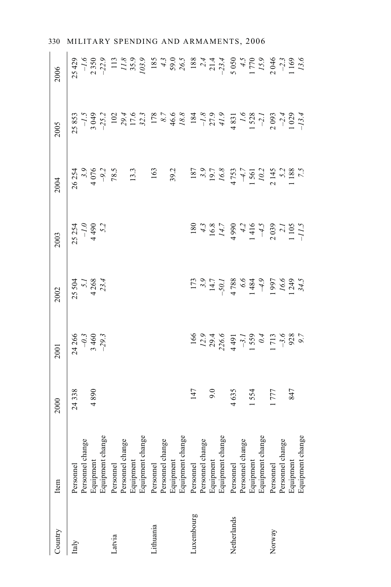| Country     | Item                          | 2000  | 2001                                                                                                                     | 2002                             | 2003                                                                                                                                                                                                                                                                                                                                              | 2004                                                                                                                | 2005  | 2006                                                                                                                                                                                                                                                                              |
|-------------|-------------------------------|-------|--------------------------------------------------------------------------------------------------------------------------|----------------------------------|---------------------------------------------------------------------------------------------------------------------------------------------------------------------------------------------------------------------------------------------------------------------------------------------------------------------------------------------------|---------------------------------------------------------------------------------------------------------------------|-------|-----------------------------------------------------------------------------------------------------------------------------------------------------------------------------------------------------------------------------------------------------------------------------------|
| Italy       | Personnel                     | 24338 | $24266$<br>-0.3<br>3 460<br>3 460                                                                                        | 25 504<br>5.1<br>4 268<br>4 23.4 | $25254$<br>-1.0<br>4490<br>4490                                                                                                                                                                                                                                                                                                                   | 26 254<br>3.9<br>4 076<br>78.5                                                                                      | 25853 | 25429                                                                                                                                                                                                                                                                             |
|             | Personnel change              | 4890  |                                                                                                                          |                                  |                                                                                                                                                                                                                                                                                                                                                   |                                                                                                                     |       |                                                                                                                                                                                                                                                                                   |
|             | Equipment<br>Equipment change |       |                                                                                                                          |                                  |                                                                                                                                                                                                                                                                                                                                                   |                                                                                                                     |       | $\begin{array}{ccccccccc}\n5.959 & 0.25 & 0.25 & 0.25 & 0.25 & 0.25 & 0.25 & 0.25 & 0.25 & 0.25 & 0.25 & 0.25 & 0.25 & 0.25 & 0.25 & 0.25 & 0.25 & 0.25 & 0.25 & 0.25 & 0.25 & 0.25 & 0.25 & 0.25 & 0.25 & 0.25 & 0.25 & 0.25 & 0.25 & 0.25 & 0.25 & 0.25 & 0.25 & 0.25 & 0.25 &$ |
| Latvia      | Personnel                     |       |                                                                                                                          |                                  |                                                                                                                                                                                                                                                                                                                                                   |                                                                                                                     |       |                                                                                                                                                                                                                                                                                   |
|             | Personnel change              |       |                                                                                                                          |                                  |                                                                                                                                                                                                                                                                                                                                                   |                                                                                                                     |       |                                                                                                                                                                                                                                                                                   |
|             | Equipment                     |       |                                                                                                                          |                                  |                                                                                                                                                                                                                                                                                                                                                   |                                                                                                                     |       |                                                                                                                                                                                                                                                                                   |
|             | Equipment change              |       |                                                                                                                          |                                  |                                                                                                                                                                                                                                                                                                                                                   | $13.3$<br>163                                                                                                       |       |                                                                                                                                                                                                                                                                                   |
| Lithuania   | Personnel                     |       |                                                                                                                          |                                  |                                                                                                                                                                                                                                                                                                                                                   |                                                                                                                     |       |                                                                                                                                                                                                                                                                                   |
|             | Personnel change              |       |                                                                                                                          |                                  |                                                                                                                                                                                                                                                                                                                                                   |                                                                                                                     |       |                                                                                                                                                                                                                                                                                   |
|             |                               |       |                                                                                                                          |                                  |                                                                                                                                                                                                                                                                                                                                                   | 39.2                                                                                                                |       |                                                                                                                                                                                                                                                                                   |
|             | Equipment<br>Equipment change |       |                                                                                                                          |                                  |                                                                                                                                                                                                                                                                                                                                                   |                                                                                                                     |       |                                                                                                                                                                                                                                                                                   |
| Luxembourg  | Personnel                     | 147   |                                                                                                                          |                                  |                                                                                                                                                                                                                                                                                                                                                   |                                                                                                                     |       |                                                                                                                                                                                                                                                                                   |
|             | Personnel change              |       |                                                                                                                          |                                  |                                                                                                                                                                                                                                                                                                                                                   |                                                                                                                     |       |                                                                                                                                                                                                                                                                                   |
|             | Equipment                     | 9.0   |                                                                                                                          |                                  |                                                                                                                                                                                                                                                                                                                                                   |                                                                                                                     |       |                                                                                                                                                                                                                                                                                   |
|             | Equipment change              |       |                                                                                                                          |                                  |                                                                                                                                                                                                                                                                                                                                                   |                                                                                                                     |       |                                                                                                                                                                                                                                                                                   |
| Netherlands | Personnel                     | 4635  | $\begin{array}{c}\n166 \\ 129 \\ 129 \\ 236 \\ 149 \\ 159 \\ 171 \\ 98 \\ 109 \\ 109 \\ 1100 \\ 908 \\ 109\n\end{array}$ |                                  | $\begin{array}{c}\n 180 \\  43.8 \\  16.8 \\  14.7 \\  49.9 \\  49.4 \\  45.7 \\  49.0 \\  45.7 \\  49.7 \\  40.7 \\  45.7 \\  47.7 \\  48.7 \\  49.7 \\  49.7 \\  40.7 \\  47.7 \\  49.7 \\  40.7 \\  47.7 \\  48.7 \\  49.7 \\  49.7 \\  40.7 \\  40.7 \\  40.7 \\  40.7 \\  40.7 \\  40.7 \\  40.7 \\  40.7 \\  40.7 \\  40.7 \\  40.7 \\  40$ | $\begin{array}{c} 187 \\ 3.9 \\ 19.7 \\ 16.8 \\ 47.5 \\ 1561 \\ 162 \\ 2145 \\ 2148 \\ 188 \\ 188 \\ 1 \end{array}$ |       |                                                                                                                                                                                                                                                                                   |
|             | Personnel change              |       |                                                                                                                          |                                  |                                                                                                                                                                                                                                                                                                                                                   |                                                                                                                     |       |                                                                                                                                                                                                                                                                                   |
|             |                               | 1554  |                                                                                                                          |                                  |                                                                                                                                                                                                                                                                                                                                                   |                                                                                                                     |       |                                                                                                                                                                                                                                                                                   |
|             | Equipment<br>Equipment change |       |                                                                                                                          |                                  |                                                                                                                                                                                                                                                                                                                                                   |                                                                                                                     |       |                                                                                                                                                                                                                                                                                   |
| Norway      | Personnel                     | 1777  |                                                                                                                          |                                  |                                                                                                                                                                                                                                                                                                                                                   |                                                                                                                     |       |                                                                                                                                                                                                                                                                                   |
|             | Personnel change              |       |                                                                                                                          |                                  |                                                                                                                                                                                                                                                                                                                                                   |                                                                                                                     |       |                                                                                                                                                                                                                                                                                   |
|             | Equipment                     | 847   |                                                                                                                          |                                  |                                                                                                                                                                                                                                                                                                                                                   |                                                                                                                     |       |                                                                                                                                                                                                                                                                                   |
|             | Equipment change              |       |                                                                                                                          |                                  |                                                                                                                                                                                                                                                                                                                                                   |                                                                                                                     |       |                                                                                                                                                                                                                                                                                   |

330 MILITARY SPENDING AND ARMAMENTS, 2006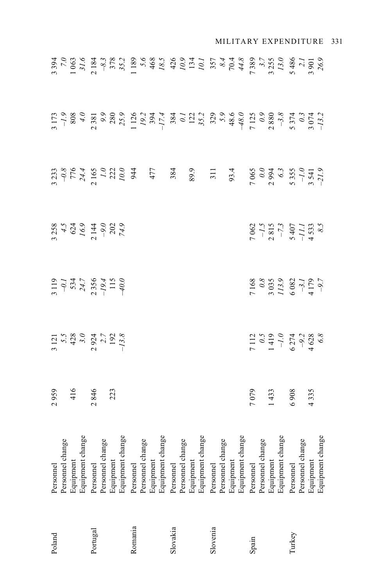| Poland   | Personnel                                                                                                                                                                                                                                                | 2959           |                                                                                              |                                                                                               |                                                    |  |  |
|----------|----------------------------------------------------------------------------------------------------------------------------------------------------------------------------------------------------------------------------------------------------------|----------------|----------------------------------------------------------------------------------------------|-----------------------------------------------------------------------------------------------|----------------------------------------------------|--|--|
|          |                                                                                                                                                                                                                                                          |                |                                                                                              |                                                                                               |                                                    |  |  |
|          |                                                                                                                                                                                                                                                          |                |                                                                                              |                                                                                               |                                                    |  |  |
|          | Personnel change<br>Equipment<br>Equipment<br>Equipment change<br>Personnel change<br>Personnel change<br>Personnel change<br>Personnel change<br>Personnel change<br>Personnel change<br>Personnel change<br>Personnel change<br>Personnel<br>Personnel | 416            | $\begin{array}{c}\n3121 \\ 5.5 \\ 428 \\ 43.0 \\ 2924 \\ 192 \\ -13.8 \\ -13.8\n\end{array}$ | $\begin{array}{r} 0.119 \\ -0.1 \\ -534.7 \\ 2.356 \\ -1.94.7 \\ -1.56 \\ -4.016 \end{array}$ | 3258<br>4.5<br>624<br>502<br>74.9<br>202<br>74.9   |  |  |
| Portugal |                                                                                                                                                                                                                                                          | 2 846<br>223   |                                                                                              |                                                                                               |                                                    |  |  |
|          |                                                                                                                                                                                                                                                          |                |                                                                                              |                                                                                               |                                                    |  |  |
|          |                                                                                                                                                                                                                                                          |                |                                                                                              |                                                                                               |                                                    |  |  |
|          |                                                                                                                                                                                                                                                          |                |                                                                                              |                                                                                               |                                                    |  |  |
| Romania  |                                                                                                                                                                                                                                                          |                |                                                                                              |                                                                                               |                                                    |  |  |
|          |                                                                                                                                                                                                                                                          |                |                                                                                              |                                                                                               |                                                    |  |  |
|          |                                                                                                                                                                                                                                                          |                |                                                                                              |                                                                                               |                                                    |  |  |
|          |                                                                                                                                                                                                                                                          |                |                                                                                              |                                                                                               |                                                    |  |  |
| Slovakia |                                                                                                                                                                                                                                                          |                |                                                                                              |                                                                                               |                                                    |  |  |
|          |                                                                                                                                                                                                                                                          |                |                                                                                              |                                                                                               |                                                    |  |  |
|          |                                                                                                                                                                                                                                                          |                |                                                                                              |                                                                                               |                                                    |  |  |
|          |                                                                                                                                                                                                                                                          |                |                                                                                              |                                                                                               |                                                    |  |  |
| Slovenia |                                                                                                                                                                                                                                                          |                |                                                                                              |                                                                                               |                                                    |  |  |
|          |                                                                                                                                                                                                                                                          |                |                                                                                              |                                                                                               |                                                    |  |  |
|          |                                                                                                                                                                                                                                                          |                |                                                                                              |                                                                                               |                                                    |  |  |
|          |                                                                                                                                                                                                                                                          |                |                                                                                              |                                                                                               |                                                    |  |  |
| Spain    |                                                                                                                                                                                                                                                          |                |                                                                                              |                                                                                               |                                                    |  |  |
|          |                                                                                                                                                                                                                                                          | 7 079<br>1 433 |                                                                                              |                                                                                               |                                                    |  |  |
|          |                                                                                                                                                                                                                                                          |                |                                                                                              |                                                                                               |                                                    |  |  |
|          |                                                                                                                                                                                                                                                          |                | $\begin{array}{c}\n 112 \\  0.5 \\  1419 \\  -1.0 \\  6274 \\  4628 \\  68\n\end{array}$     | $7168$ $0.8$ $0.3$ $0.3$ $0.3$ $0.3$ $0.3$ $0.082$ $0.082$ $0.07$ $0.087$                     | $7062$ $-1.5$ $-1.5$ $-7.3$ $-7.3$ $-11.1$ $+5333$ |  |  |
| Turkey   |                                                                                                                                                                                                                                                          | 6 908<br>4 335 |                                                                                              |                                                                                               |                                                    |  |  |
|          |                                                                                                                                                                                                                                                          |                |                                                                                              |                                                                                               |                                                    |  |  |
|          |                                                                                                                                                                                                                                                          |                |                                                                                              |                                                                                               |                                                    |  |  |
|          |                                                                                                                                                                                                                                                          |                |                                                                                              |                                                                                               |                                                    |  |  |

MILITARY EXPENDITURE 331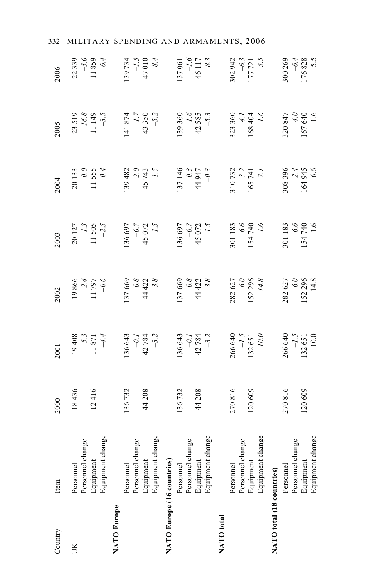| Country                    | Item                                                                               | 2000              | 2001                                                          | 2002                                       | 2003                                                          | 2004                                          | 2005                                        | 2006                                    |
|----------------------------|------------------------------------------------------------------------------------|-------------------|---------------------------------------------------------------|--------------------------------------------|---------------------------------------------------------------|-----------------------------------------------|---------------------------------------------|-----------------------------------------|
| JК                         | Personnel change<br>Equipment<br>Personnel                                         | 18436<br>12416    | 19408<br>$\begin{array}{c} 5.3 \\ 11.871 \\ +4.4 \end{array}$ | 19866<br>$11\ 797$<br>-0.6                 | $\begin{array}{c} 1.3 \\ 11.505 \\ -2.5 \end{array}$<br>20127 | $\overline{0.0}$<br>11555<br>0.4<br>20133     | $16.8\,$<br>23519<br>$11149$<br>-3.5        | $-5.0$<br>11859<br>22339                |
| NATO Europe                | Equipment change<br>Equipment change<br>Personnel change<br>Equipment<br>Personnel | 136732<br>44208   | 136643<br>$-0.1$<br>42 784<br>7.3                             | 137669<br>$0.8$<br>44 422<br>3.8           | $-0.7$<br>45 072<br>136 697<br>$\sim$                         | $2.0$<br>45 743<br>139 482                    | 43350<br>141 874<br>$-5.2$                  | 6.4<br>$-1.5$<br>47010<br>139734<br>8.4 |
| NATO Europe (16 countries) | Equipment change<br>Personnel change<br>Equipment<br>Personnel                     | 136732<br>44 208  | 136 643<br>$\dot{\theta}$<br>$42\,784$<br>$-3.2$              | 137669<br>$0.8$<br>44 422<br>3.8           | $-0.7$<br>45 072<br>1.5<br>136 697                            | 137146<br>$0.3$<br>44 947<br>$\tilde{\theta}$ | $\overline{q}$<br>42585<br>139360<br>$-5.3$ | $-1.6$<br>46 117<br>137061              |
| NATO total                 | Equipment change<br>Personnel change<br>Equipment<br>Personnel                     | 270816<br>120609  | $-1.5$<br>266 640<br>0.01<br>132651                           | $\overline{0}$<br>282627<br>152296<br>14.8 | 9.9<br>301183<br>154740<br>$\tilde{I}$                        | 310732<br>3.2<br>165741<br>7.1                | 323 360<br>9.1<br>168404<br>$\ddot{t}$      | 302942<br>5.5<br>$-6.3$<br>177721       |
| NATO total (18 countries)  | Equipment change<br>Personnel change<br>Equipment<br>Personnel                     | 270816<br>120 609 | $-1.5$<br>266 640<br>132651<br>10.0                           | $\overline{0}$<br>282627<br>152296<br>14.8 | $6.6$<br>154 740<br>301183<br>$\frac{6}{1}$                   | 308396<br>2.4<br>164 945<br>6.6               | $0767$<br>040<br>320847<br>1.6              | 300 269<br>$-6.4$<br>176828<br>5.5      |

332 MILITARY SPENDING AND ARMAMENTS, 2006